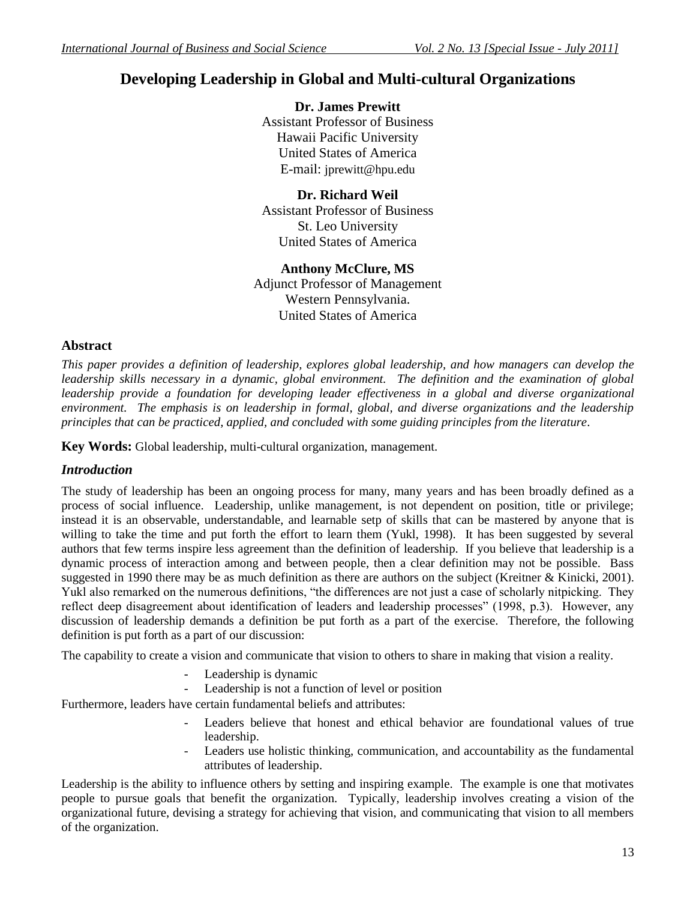# **Developing Leadership in Global and Multi-cultural Organizations**

**Dr. James Prewitt** Assistant Professor of Business Hawaii Pacific University United States of America E-mail: jprewitt@hpu.edu

**Dr. Richard Weil** Assistant Professor of Business St. Leo University United States of America

## **Anthony McClure, MS** Adjunct Professor of Management Western Pennsylvania. United States of America

## **Abstract**

*This paper provides a definition of leadership, explores global leadership, and how managers can develop the leadership skills necessary in a dynamic, global environment. The definition and the examination of global leadership provide a foundation for developing leader effectiveness in a global and diverse organizational environment. The emphasis is on leadership in formal, global, and diverse organizations and the leadership principles that can be practiced, applied, and concluded with some guiding principles from the literature.*

**Key Words:** Global leadership, multi-cultural organization, management.

# *Introduction*

The study of leadership has been an ongoing process for many, many years and has been broadly defined as a process of social influence. Leadership, unlike management, is not dependent on position, title or privilege; instead it is an observable, understandable, and learnable setp of skills that can be mastered by anyone that is willing to take the time and put forth the effort to learn them (Yukl, 1998). It has been suggested by several authors that few terms inspire less agreement than the definition of leadership. If you believe that leadership is a dynamic process of interaction among and between people, then a clear definition may not be possible. Bass suggested in 1990 there may be as much definition as there are authors on the subject (Kreitner & Kinicki, 2001). Yukl also remarked on the numerous definitions, "the differences are not just a case of scholarly nitpicking. They reflect deep disagreement about identification of leaders and leadership processes" (1998, p.3). However, any discussion of leadership demands a definition be put forth as a part of the exercise. Therefore, the following definition is put forth as a part of our discussion:

The capability to create a vision and communicate that vision to others to share in making that vision a reality.

- Leadership is dynamic
- Leadership is not a function of level or position

Furthermore, leaders have certain fundamental beliefs and attributes:

- Leaders believe that honest and ethical behavior are foundational values of true leadership.
- Leaders use holistic thinking, communication, and accountability as the fundamental attributes of leadership.

Leadership is the ability to influence others by setting and inspiring example. The example is one that motivates people to pursue goals that benefit the organization. Typically, leadership involves creating a vision of the organizational future, devising a strategy for achieving that vision, and communicating that vision to all members of the organization.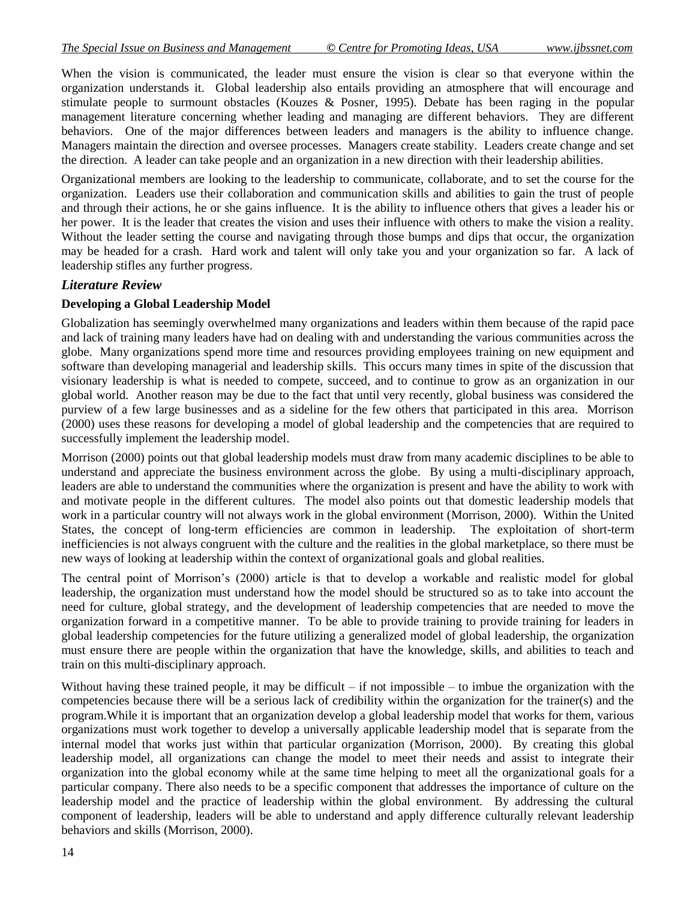When the vision is communicated, the leader must ensure the vision is clear so that everyone within the organization understands it. Global leadership also entails providing an atmosphere that will encourage and stimulate people to surmount obstacles (Kouzes & Posner, 1995). Debate has been raging in the popular management literature concerning whether leading and managing are different behaviors. They are different behaviors. One of the major differences between leaders and managers is the ability to influence change. Managers maintain the direction and oversee processes. Managers create stability. Leaders create change and set the direction. A leader can take people and an organization in a new direction with their leadership abilities.

Organizational members are looking to the leadership to communicate, collaborate, and to set the course for the organization. Leaders use their collaboration and communication skills and abilities to gain the trust of people and through their actions, he or she gains influence. It is the ability to influence others that gives a leader his or her power. It is the leader that creates the vision and uses their influence with others to make the vision a reality. Without the leader setting the course and navigating through those bumps and dips that occur, the organization may be headed for a crash. Hard work and talent will only take you and your organization so far. A lack of leadership stifles any further progress.

## *Literature Review*

## **Developing a Global Leadership Model**

Globalization has seemingly overwhelmed many organizations and leaders within them because of the rapid pace and lack of training many leaders have had on dealing with and understanding the various communities across the globe. Many organizations spend more time and resources providing employees training on new equipment and software than developing managerial and leadership skills. This occurs many times in spite of the discussion that visionary leadership is what is needed to compete, succeed, and to continue to grow as an organization in our global world. Another reason may be due to the fact that until very recently, global business was considered the purview of a few large businesses and as a sideline for the few others that participated in this area. Morrison (2000) uses these reasons for developing a model of global leadership and the competencies that are required to successfully implement the leadership model.

Morrison (2000) points out that global leadership models must draw from many academic disciplines to be able to understand and appreciate the business environment across the globe. By using a multi-disciplinary approach, leaders are able to understand the communities where the organization is present and have the ability to work with and motivate people in the different cultures. The model also points out that domestic leadership models that work in a particular country will not always work in the global environment (Morrison, 2000). Within the United States, the concept of long-term efficiencies are common in leadership. The exploitation of short-term inefficiencies is not always congruent with the culture and the realities in the global marketplace, so there must be new ways of looking at leadership within the context of organizational goals and global realities.

The central point of Morrison's (2000) article is that to develop a workable and realistic model for global leadership, the organization must understand how the model should be structured so as to take into account the need for culture, global strategy, and the development of leadership competencies that are needed to move the organization forward in a competitive manner. To be able to provide training to provide training for leaders in global leadership competencies for the future utilizing a generalized model of global leadership, the organization must ensure there are people within the organization that have the knowledge, skills, and abilities to teach and train on this multi-disciplinary approach.

Without having these trained people, it may be difficult – if not impossible – to imbue the organization with the competencies because there will be a serious lack of credibility within the organization for the trainer(s) and the program.While it is important that an organization develop a global leadership model that works for them, various organizations must work together to develop a universally applicable leadership model that is separate from the internal model that works just within that particular organization (Morrison, 2000). By creating this global leadership model, all organizations can change the model to meet their needs and assist to integrate their organization into the global economy while at the same time helping to meet all the organizational goals for a particular company. There also needs to be a specific component that addresses the importance of culture on the leadership model and the practice of leadership within the global environment. By addressing the cultural component of leadership, leaders will be able to understand and apply difference culturally relevant leadership behaviors and skills (Morrison, 2000).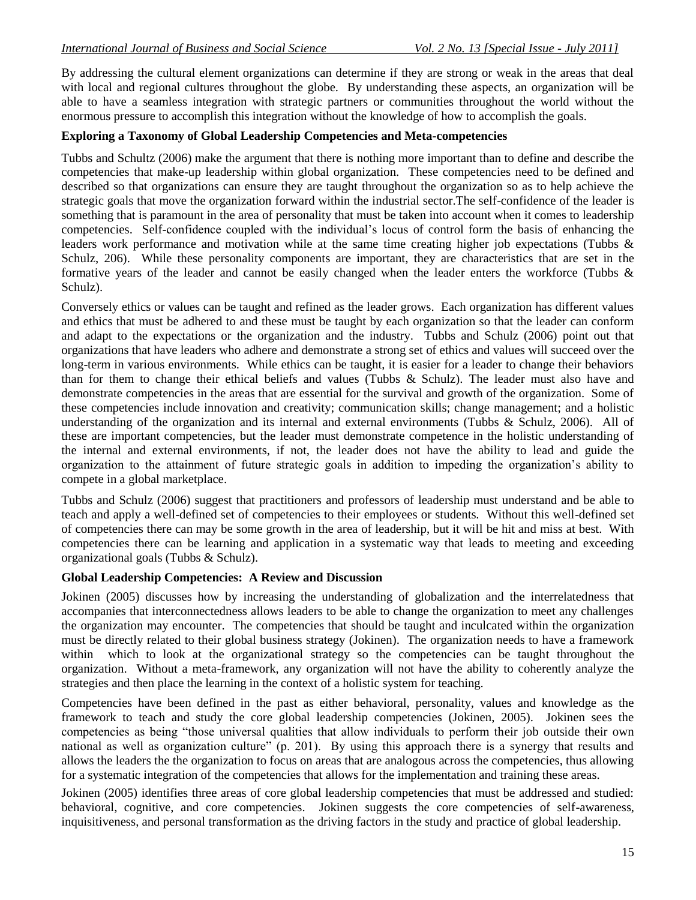By addressing the cultural element organizations can determine if they are strong or weak in the areas that deal with local and regional cultures throughout the globe. By understanding these aspects, an organization will be able to have a seamless integration with strategic partners or communities throughout the world without the enormous pressure to accomplish this integration without the knowledge of how to accomplish the goals.

#### **Exploring a Taxonomy of Global Leadership Competencies and Meta-competencies**

Tubbs and Schultz (2006) make the argument that there is nothing more important than to define and describe the competencies that make-up leadership within global organization. These competencies need to be defined and described so that organizations can ensure they are taught throughout the organization so as to help achieve the strategic goals that move the organization forward within the industrial sector.The self-confidence of the leader is something that is paramount in the area of personality that must be taken into account when it comes to leadership competencies. Self-confidence coupled with the individual's locus of control form the basis of enhancing the leaders work performance and motivation while at the same time creating higher job expectations (Tubbs & Schulz, 206). While these personality components are important, they are characteristics that are set in the formative years of the leader and cannot be easily changed when the leader enters the workforce (Tubbs & Schulz).

Conversely ethics or values can be taught and refined as the leader grows. Each organization has different values and ethics that must be adhered to and these must be taught by each organization so that the leader can conform and adapt to the expectations or the organization and the industry. Tubbs and Schulz (2006) point out that organizations that have leaders who adhere and demonstrate a strong set of ethics and values will succeed over the long-term in various environments. While ethics can be taught, it is easier for a leader to change their behaviors than for them to change their ethical beliefs and values (Tubbs & Schulz). The leader must also have and demonstrate competencies in the areas that are essential for the survival and growth of the organization. Some of these competencies include innovation and creativity; communication skills; change management; and a holistic understanding of the organization and its internal and external environments (Tubbs & Schulz, 2006). All of these are important competencies, but the leader must demonstrate competence in the holistic understanding of the internal and external environments, if not, the leader does not have the ability to lead and guide the organization to the attainment of future strategic goals in addition to impeding the organization's ability to compete in a global marketplace.

Tubbs and Schulz (2006) suggest that practitioners and professors of leadership must understand and be able to teach and apply a well-defined set of competencies to their employees or students. Without this well-defined set of competencies there can may be some growth in the area of leadership, but it will be hit and miss at best. With competencies there can be learning and application in a systematic way that leads to meeting and exceeding organizational goals (Tubbs & Schulz).

#### **Global Leadership Competencies: A Review and Discussion**

Jokinen (2005) discusses how by increasing the understanding of globalization and the interrelatedness that accompanies that interconnectedness allows leaders to be able to change the organization to meet any challenges the organization may encounter. The competencies that should be taught and inculcated within the organization must be directly related to their global business strategy (Jokinen). The organization needs to have a framework within which to look at the organizational strategy so the competencies can be taught throughout the organization. Without a meta-framework, any organization will not have the ability to coherently analyze the strategies and then place the learning in the context of a holistic system for teaching.

Competencies have been defined in the past as either behavioral, personality, values and knowledge as the framework to teach and study the core global leadership competencies (Jokinen, 2005). Jokinen sees the competencies as being "those universal qualities that allow individuals to perform their job outside their own national as well as organization culture" (p. 201). By using this approach there is a synergy that results and allows the leaders the the organization to focus on areas that are analogous across the competencies, thus allowing for a systematic integration of the competencies that allows for the implementation and training these areas.

Jokinen (2005) identifies three areas of core global leadership competencies that must be addressed and studied: behavioral, cognitive, and core competencies. Jokinen suggests the core competencies of self-awareness, inquisitiveness, and personal transformation as the driving factors in the study and practice of global leadership.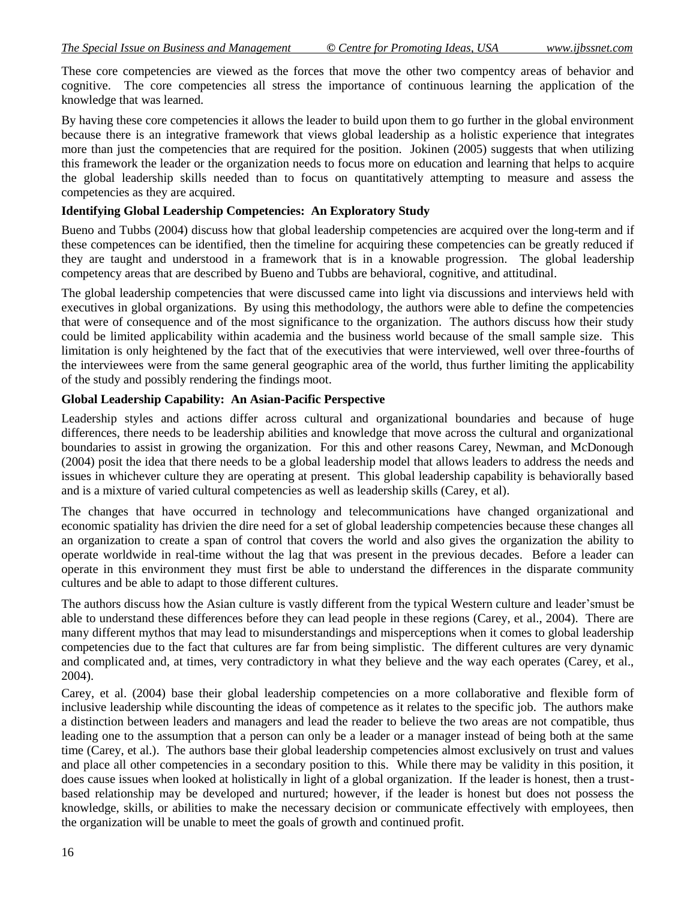These core competencies are viewed as the forces that move the other two compentcy areas of behavior and cognitive. The core competencies all stress the importance of continuous learning the application of the knowledge that was learned.

By having these core competencies it allows the leader to build upon them to go further in the global environment because there is an integrative framework that views global leadership as a holistic experience that integrates more than just the competencies that are required for the position. Jokinen (2005) suggests that when utilizing this framework the leader or the organization needs to focus more on education and learning that helps to acquire the global leadership skills needed than to focus on quantitatively attempting to measure and assess the competencies as they are acquired.

### **Identifying Global Leadership Competencies: An Exploratory Study**

Bueno and Tubbs (2004) discuss how that global leadership competencies are acquired over the long-term and if these competences can be identified, then the timeline for acquiring these competencies can be greatly reduced if they are taught and understood in a framework that is in a knowable progression. The global leadership competency areas that are described by Bueno and Tubbs are behavioral, cognitive, and attitudinal.

The global leadership competencies that were discussed came into light via discussions and interviews held with executives in global organizations. By using this methodology, the authors were able to define the competencies that were of consequence and of the most significance to the organization. The authors discuss how their study could be limited applicability within academia and the business world because of the small sample size. This limitation is only heightened by the fact that of the executivies that were interviewed, well over three-fourths of the interviewees were from the same general geographic area of the world, thus further limiting the applicability of the study and possibly rendering the findings moot.

## **Global Leadership Capability: An Asian-Pacific Perspective**

Leadership styles and actions differ across cultural and organizational boundaries and because of huge differences, there needs to be leadership abilities and knowledge that move across the cultural and organizational boundaries to assist in growing the organization. For this and other reasons Carey, Newman, and McDonough (2004) posit the idea that there needs to be a global leadership model that allows leaders to address the needs and issues in whichever culture they are operating at present. This global leadership capability is behaviorally based and is a mixture of varied cultural competencies as well as leadership skills (Carey, et al).

The changes that have occurred in technology and telecommunications have changed organizational and economic spatiality has drivien the dire need for a set of global leadership competencies because these changes all an organization to create a span of control that covers the world and also gives the organization the ability to operate worldwide in real-time without the lag that was present in the previous decades. Before a leader can operate in this environment they must first be able to understand the differences in the disparate community cultures and be able to adapt to those different cultures.

The authors discuss how the Asian culture is vastly different from the typical Western culture and leader'smust be able to understand these differences before they can lead people in these regions (Carey, et al., 2004). There are many different mythos that may lead to misunderstandings and misperceptions when it comes to global leadership competencies due to the fact that cultures are far from being simplistic. The different cultures are very dynamic and complicated and, at times, very contradictory in what they believe and the way each operates (Carey, et al., 2004).

Carey, et al. (2004) base their global leadership competencies on a more collaborative and flexible form of inclusive leadership while discounting the ideas of competence as it relates to the specific job. The authors make a distinction between leaders and managers and lead the reader to believe the two areas are not compatible, thus leading one to the assumption that a person can only be a leader or a manager instead of being both at the same time (Carey, et al.). The authors base their global leadership competencies almost exclusively on trust and values and place all other competencies in a secondary position to this. While there may be validity in this position, it does cause issues when looked at holistically in light of a global organization. If the leader is honest, then a trustbased relationship may be developed and nurtured; however, if the leader is honest but does not possess the knowledge, skills, or abilities to make the necessary decision or communicate effectively with employees, then the organization will be unable to meet the goals of growth and continued profit.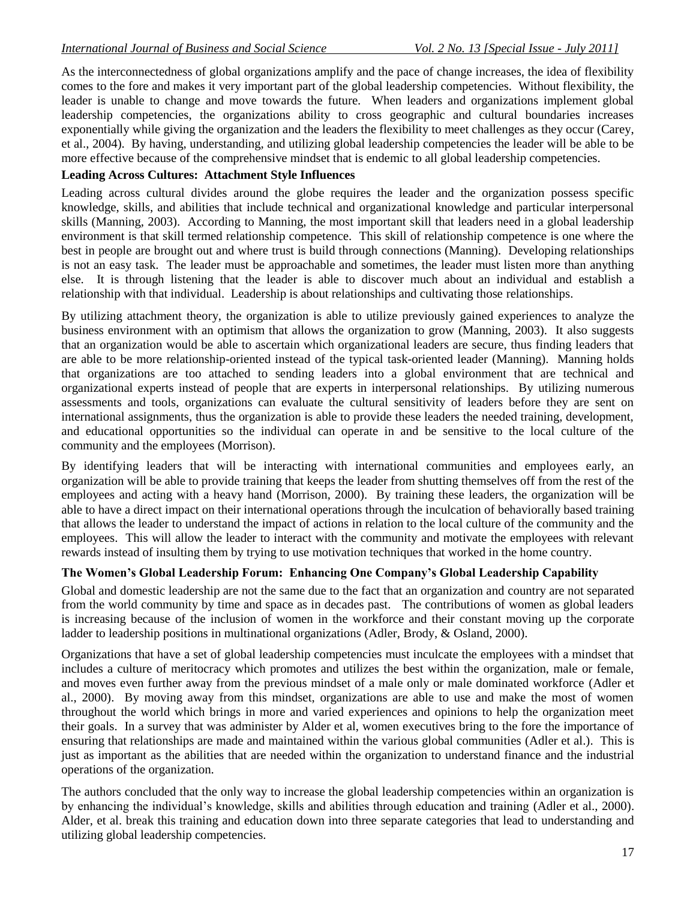As the interconnectedness of global organizations amplify and the pace of change increases, the idea of flexibility comes to the fore and makes it very important part of the global leadership competencies. Without flexibility, the leader is unable to change and move towards the future. When leaders and organizations implement global leadership competencies, the organizations ability to cross geographic and cultural boundaries increases exponentially while giving the organization and the leaders the flexibility to meet challenges as they occur (Carey, et al., 2004). By having, understanding, and utilizing global leadership competencies the leader will be able to be more effective because of the comprehensive mindset that is endemic to all global leadership competencies.

### **Leading Across Cultures: Attachment Style Influences**

Leading across cultural divides around the globe requires the leader and the organization possess specific knowledge, skills, and abilities that include technical and organizational knowledge and particular interpersonal skills (Manning, 2003). According to Manning, the most important skill that leaders need in a global leadership environment is that skill termed relationship competence. This skill of relationship competence is one where the best in people are brought out and where trust is build through connections (Manning). Developing relationships is not an easy task. The leader must be approachable and sometimes, the leader must listen more than anything else. It is through listening that the leader is able to discover much about an individual and establish a relationship with that individual. Leadership is about relationships and cultivating those relationships.

By utilizing attachment theory, the organization is able to utilize previously gained experiences to analyze the business environment with an optimism that allows the organization to grow (Manning, 2003). It also suggests that an organization would be able to ascertain which organizational leaders are secure, thus finding leaders that are able to be more relationship-oriented instead of the typical task-oriented leader (Manning). Manning holds that organizations are too attached to sending leaders into a global environment that are technical and organizational experts instead of people that are experts in interpersonal relationships. By utilizing numerous assessments and tools, organizations can evaluate the cultural sensitivity of leaders before they are sent on international assignments, thus the organization is able to provide these leaders the needed training, development, and educational opportunities so the individual can operate in and be sensitive to the local culture of the community and the employees (Morrison).

By identifying leaders that will be interacting with international communities and employees early, an organization will be able to provide training that keeps the leader from shutting themselves off from the rest of the employees and acting with a heavy hand (Morrison, 2000). By training these leaders, the organization will be able to have a direct impact on their international operations through the inculcation of behaviorally based training that allows the leader to understand the impact of actions in relation to the local culture of the community and the employees. This will allow the leader to interact with the community and motivate the employees with relevant rewards instead of insulting them by trying to use motivation techniques that worked in the home country.

#### **The Women's Global Leadership Forum: Enhancing One Company's Global Leadership Capability**

Global and domestic leadership are not the same due to the fact that an organization and country are not separated from the world community by time and space as in decades past. The contributions of women as global leaders is increasing because of the inclusion of women in the workforce and their constant moving up the corporate ladder to leadership positions in multinational organizations (Adler, Brody, & Osland, 2000).

Organizations that have a set of global leadership competencies must inculcate the employees with a mindset that includes a culture of meritocracy which promotes and utilizes the best within the organization, male or female, and moves even further away from the previous mindset of a male only or male dominated workforce (Adler et al., 2000). By moving away from this mindset, organizations are able to use and make the most of women throughout the world which brings in more and varied experiences and opinions to help the organization meet their goals. In a survey that was administer by Alder et al, women executives bring to the fore the importance of ensuring that relationships are made and maintained within the various global communities (Adler et al.). This is just as important as the abilities that are needed within the organization to understand finance and the industrial operations of the organization.

The authors concluded that the only way to increase the global leadership competencies within an organization is by enhancing the individual's knowledge, skills and abilities through education and training (Adler et al., 2000). Alder, et al. break this training and education down into three separate categories that lead to understanding and utilizing global leadership competencies.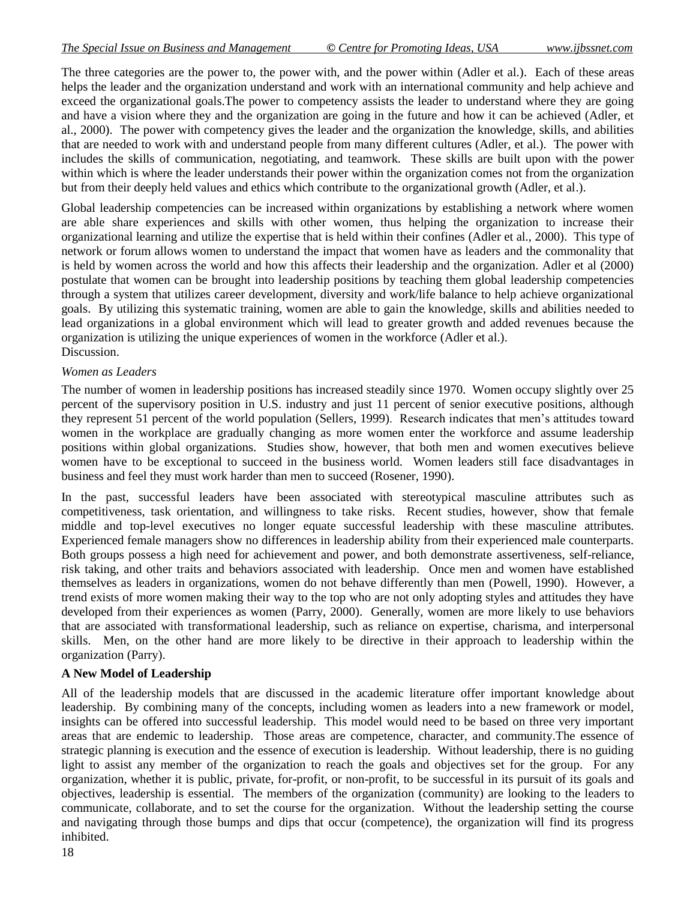The three categories are the power to, the power with, and the power within (Adler et al.). Each of these areas helps the leader and the organization understand and work with an international community and help achieve and exceed the organizational goals.The power to competency assists the leader to understand where they are going and have a vision where they and the organization are going in the future and how it can be achieved (Adler, et al., 2000). The power with competency gives the leader and the organization the knowledge, skills, and abilities that are needed to work with and understand people from many different cultures (Adler, et al.). The power with includes the skills of communication, negotiating, and teamwork. These skills are built upon with the power within which is where the leader understands their power within the organization comes not from the organization but from their deeply held values and ethics which contribute to the organizational growth (Adler, et al.).

Global leadership competencies can be increased within organizations by establishing a network where women are able share experiences and skills with other women, thus helping the organization to increase their organizational learning and utilize the expertise that is held within their confines (Adler et al., 2000). This type of network or forum allows women to understand the impact that women have as leaders and the commonality that is held by women across the world and how this affects their leadership and the organization. Adler et al (2000) postulate that women can be brought into leadership positions by teaching them global leadership competencies through a system that utilizes career development, diversity and work/life balance to help achieve organizational goals. By utilizing this systematic training, women are able to gain the knowledge, skills and abilities needed to lead organizations in a global environment which will lead to greater growth and added revenues because the organization is utilizing the unique experiences of women in the workforce (Adler et al.). Discussion.

#### *Women as Leaders*

The number of women in leadership positions has increased steadily since 1970. Women occupy slightly over 25 percent of the supervisory position in U.S. industry and just 11 percent of senior executive positions, although they represent 51 percent of the world population (Sellers, 1999). Research indicates that men's attitudes toward women in the workplace are gradually changing as more women enter the workforce and assume leadership positions within global organizations. Studies show, however, that both men and women executives believe women have to be exceptional to succeed in the business world. Women leaders still face disadvantages in business and feel they must work harder than men to succeed (Rosener, 1990).

In the past, successful leaders have been associated with stereotypical masculine attributes such as competitiveness, task orientation, and willingness to take risks. Recent studies, however, show that female middle and top-level executives no longer equate successful leadership with these masculine attributes. Experienced female managers show no differences in leadership ability from their experienced male counterparts. Both groups possess a high need for achievement and power, and both demonstrate assertiveness, self-reliance, risk taking, and other traits and behaviors associated with leadership. Once men and women have established themselves as leaders in organizations, women do not behave differently than men (Powell, 1990). However, a trend exists of more women making their way to the top who are not only adopting styles and attitudes they have developed from their experiences as women (Parry, 2000). Generally, women are more likely to use behaviors that are associated with transformational leadership, such as reliance on expertise, charisma, and interpersonal skills. Men, on the other hand are more likely to be directive in their approach to leadership within the organization (Parry).

#### **A New Model of Leadership**

All of the leadership models that are discussed in the academic literature offer important knowledge about leadership. By combining many of the concepts, including women as leaders into a new framework or model, insights can be offered into successful leadership. This model would need to be based on three very important areas that are endemic to leadership. Those areas are competence, character, and community.The essence of strategic planning is execution and the essence of execution is leadership. Without leadership, there is no guiding light to assist any member of the organization to reach the goals and objectives set for the group. For any organization, whether it is public, private, for-profit, or non-profit, to be successful in its pursuit of its goals and objectives, leadership is essential. The members of the organization (community) are looking to the leaders to communicate, collaborate, and to set the course for the organization. Without the leadership setting the course and navigating through those bumps and dips that occur (competence), the organization will find its progress inhibited.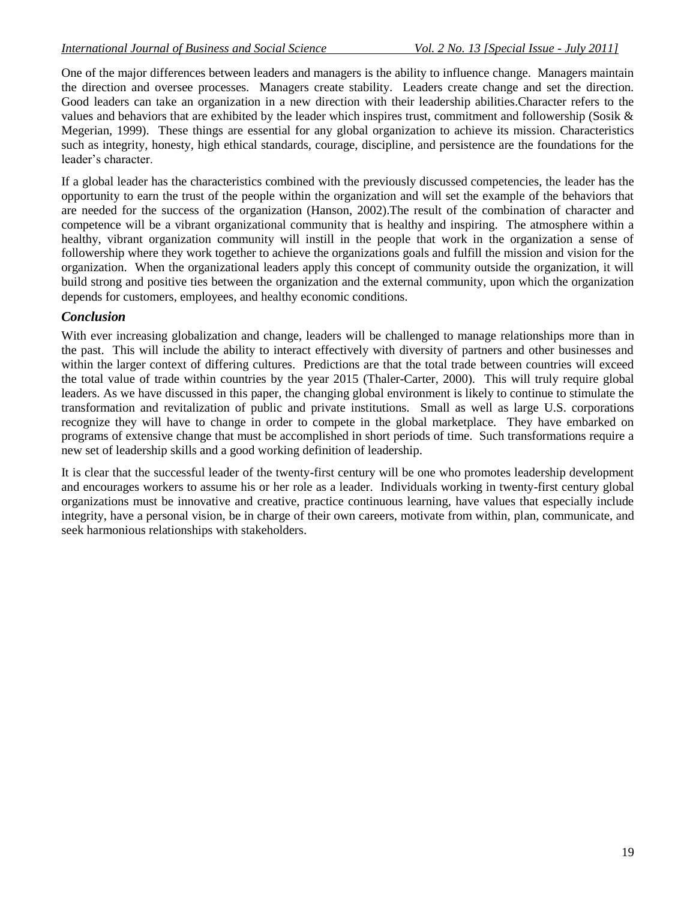One of the major differences between leaders and managers is the ability to influence change. Managers maintain the direction and oversee processes. Managers create stability. Leaders create change and set the direction. Good leaders can take an organization in a new direction with their leadership abilities.Character refers to the values and behaviors that are exhibited by the leader which inspires trust, commitment and followership (Sosik & Megerian, 1999). These things are essential for any global organization to achieve its mission. Characteristics such as integrity, honesty, high ethical standards, courage, discipline, and persistence are the foundations for the leader's character.

If a global leader has the characteristics combined with the previously discussed competencies, the leader has the opportunity to earn the trust of the people within the organization and will set the example of the behaviors that are needed for the success of the organization (Hanson, 2002).The result of the combination of character and competence will be a vibrant organizational community that is healthy and inspiring. The atmosphere within a healthy, vibrant organization community will instill in the people that work in the organization a sense of followership where they work together to achieve the organizations goals and fulfill the mission and vision for the organization. When the organizational leaders apply this concept of community outside the organization, it will build strong and positive ties between the organization and the external community, upon which the organization depends for customers, employees, and healthy economic conditions.

## *Conclusion*

With ever increasing globalization and change, leaders will be challenged to manage relationships more than in the past. This will include the ability to interact effectively with diversity of partners and other businesses and within the larger context of differing cultures. Predictions are that the total trade between countries will exceed the total value of trade within countries by the year 2015 (Thaler-Carter, 2000). This will truly require global leaders. As we have discussed in this paper, the changing global environment is likely to continue to stimulate the transformation and revitalization of public and private institutions. Small as well as large U.S. corporations recognize they will have to change in order to compete in the global marketplace. They have embarked on programs of extensive change that must be accomplished in short periods of time. Such transformations require a new set of leadership skills and a good working definition of leadership.

It is clear that the successful leader of the twenty-first century will be one who promotes leadership development and encourages workers to assume his or her role as a leader. Individuals working in twenty-first century global organizations must be innovative and creative, practice continuous learning, have values that especially include integrity, have a personal vision, be in charge of their own careers, motivate from within, plan, communicate, and seek harmonious relationships with stakeholders.